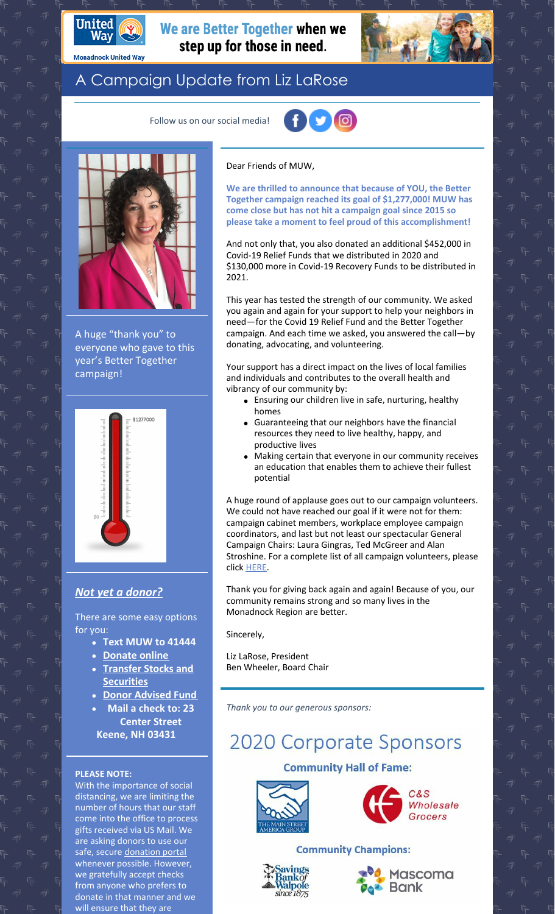

**Monadnock United Way** 

## We are Better Together when we step up for those in need.



# A Campaign Update from Liz LaRose

Follow us on our social media!



A huge "thank you" to everyone who gave to this year's Better Together campaign!



### *Not yet a [donor?](https://app.mobilecause.com/f/2vgz/n?reset=1&%253Bid=1&vid=cdoig)*

There are some easy options for you:

- **Text MUW to 41444**
- **[Donate](https://app.mobilecause.com/f/2vgz/n?reset=1&%253Bid=1&vid=b348n) online**
- **Transfer Stocks and [Securities](https://www.muw.org/planned-giving#stocks)**
- **Donor [Advised](https://www.muw.org/planned-giving#DAF) Fund**
- **Mail a check to: 23**
- **Center Street Keene, NH 03431**

#### **PLEASE NOTE:**

With the importance of social distancing, we are limiting the number of hours that our staff come into the office to process gifts received via US Mail. We are asking donors to use our safe, secure [donation](https://app.mobilecause.com/f/2vgz/n?reset=1&%253Bid=1&vid=f3bd4) portal whenever possible. However, we gratefully accept checks from anyone who prefers to donate in that manner and we will ensure that they are

#### Dear Friends of MUW,

**We are thrilled to announce that because of YOU, the Better Together campaign reached its goal of \$1,277,000! MUW has come close but has not hit a campaign goal since 2015 so please take a moment to feel proud of this accomplishment!**

And not only that, you also donated an additional \$452,000 in Covid-19 Relief Funds that we distributed in 2020 and \$130,000 more in Covid-19 Recovery Funds to be distributed in 2021.

This year has tested the strength of our community. We asked you again and again for your support to help your neighbors in need—for the Covid 19 Relief Fund and the Better Together campaign. And each time we asked, you answered the call—by donating, advocating, and volunteering.

Your support has a direct impact on the lives of local families and individuals and contributes to the overall health and vibrancy of our community by:

- Ensuring our children live in safe, nurturing, healthy homes
- Guaranteeing that our neighbors have the financial resources they need to live healthy, happy, and productive lives
- Making certain that everyone in our community receives an education that enables them to achieve their fullest potential

A huge round of applause goes out to our campaign volunteers. We could not have reached our goal if it were not for them: campaign cabinet members, workplace employee campaign coordinators, and last but not least our spectacular General Campaign Chairs: Laura Gingras, Ted McGreer and Alan Stroshine. For a complete list of all campaign volunteers, please click [HERE](https://www.muw.org/volunteer-thank-you).

Thank you for giving back again and again! Because of you, our community remains strong and so many lives in the Monadnock Region are better.

Sincerely,

Liz LaRose, President Ben Wheeler, Board Chair

*Thank you to our generous sponsors:*

# **2020 Corporate Sponsors**

#### **Community Hall of Fame:**





#### **Community Champions:**